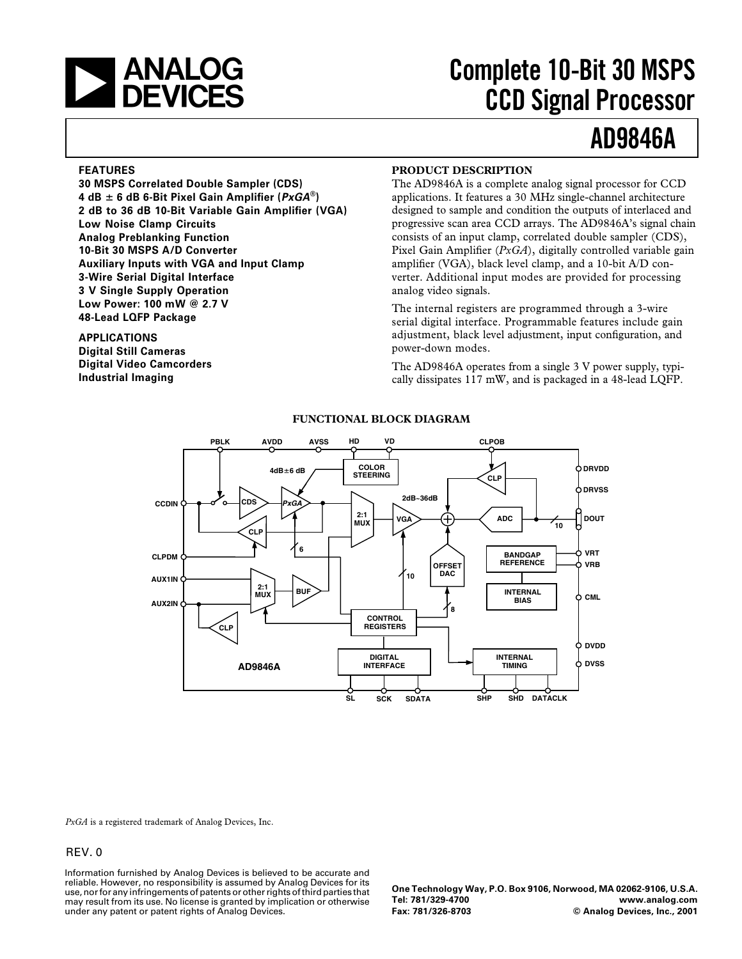

# **Complete 10-Bit 30 MSPS CCD Signal Processor**

# **AD9846A**

### **FEATURES**

**30 MSPS Correlated Double Sampler (CDS) 4 dB**  $\pm$  **6 dB 6-Bit Pixel Gain Amplifier (** $P \times GA^{\circledcirc}$ **) 2 dB to 36 dB 10-Bit Variable Gain Amplifier (VGA) Low Noise Clamp Circuits Analog Preblanking Function 10-Bit 30 MSPS A/D Converter Auxiliary Inputs with VGA and Input Clamp 3-Wire Serial Digital Interface 3 V Single Supply Operation Low Power: 100 mW @ 2.7 V 48-Lead LQFP Package**

**APPLICATIONS Digital Still Cameras Digital Video Camcorders Industrial Imaging**

### **PRODUCT DESCRIPTION**

The AD9846A is a complete analog signal processor for CCD applications. It features a 30 MHz single-channel architecture designed to sample and condition the outputs of interlaced and progressive scan area CCD arrays. The AD9846A's signal chain consists of an input clamp, correlated double sampler (CDS), Pixel Gain Amplifier (*PxGA*), digitally controlled variable gain amplifier (VGA), black level clamp, and a 10-bit A/D converter. Additional input modes are provided for processing analog video signals.

The internal registers are programmed through a 3-wire serial digital interface. Programmable features include gain adjustment, black level adjustment, input configuration, and power-down modes.

The AD9846A operates from a single 3 V power supply, typically dissipates 117 mW, and is packaged in a 48-lead LQFP.



### **FUNCTIONAL BLOCK DIAGRAM**

*PxGA* is a registered trademark of Analog Devices, Inc.

### REV. 0

Information furnished by Analog Devices is believed to be accurate and reliable. However, no responsibility is assumed by Analog Devices for its use, nor for any infringements of patents or other rights of third parties that may result from its use. No license is granted by implication or otherwise under any patent or patent rights of Analog Devices.

**One Technology Way, P.O. Box 9106, Norwood, MA 02062-9106, U.S.A. Tel: 781/329-4700 www.analog.com**  $©$  Analog Devices, Inc., 2001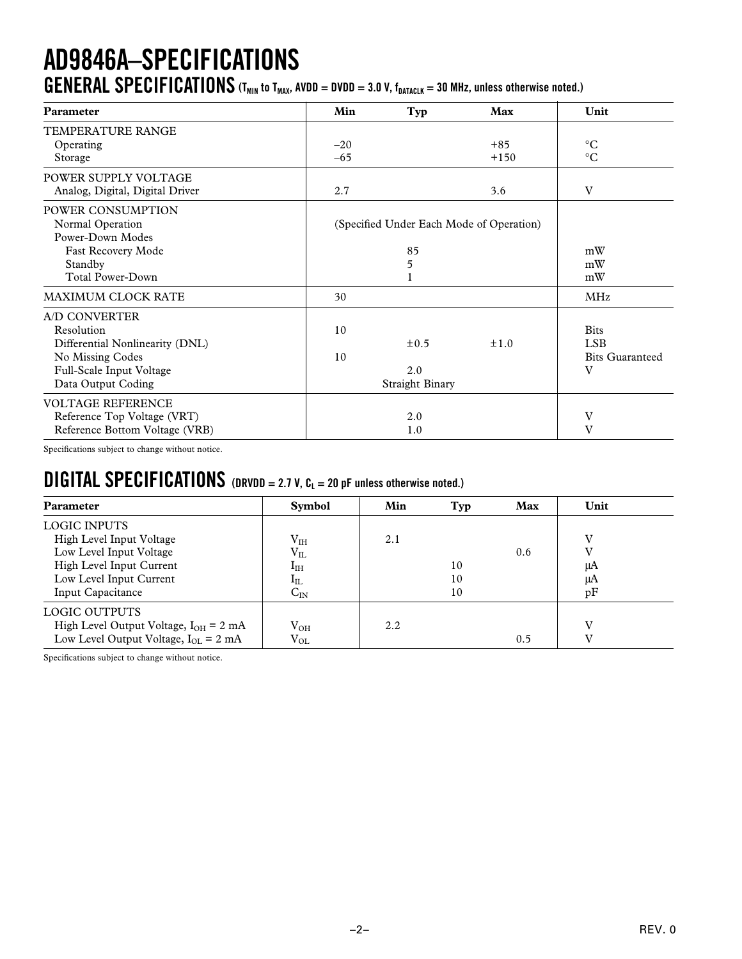# **AD9846A–SPECIFICATIONS GENERAL SPECIFICATIONS** (T<sub>MIN</sub> to T<sub>MAX</sub>, AVDD = DVDD = 3.0 V,  $f_{\text{DATACLK}}$  = 30 MHz, unless otherwise noted.)

| Parameter                       | Min   | Typ                    | Max                                      | Unit                   |  |  |  |
|---------------------------------|-------|------------------------|------------------------------------------|------------------------|--|--|--|
| TEMPERATURE RANGE               |       |                        |                                          |                        |  |  |  |
| Operating                       | $-20$ |                        | $+85$                                    | $\rm ^{\circ}C$        |  |  |  |
| Storage                         | $-65$ |                        | $+150$                                   | $^{\circ}C$            |  |  |  |
| POWER SUPPLY VOLTAGE            |       |                        |                                          |                        |  |  |  |
| Analog, Digital, Digital Driver | 2.7   |                        | 3.6                                      | V                      |  |  |  |
| POWER CONSUMPTION               |       |                        |                                          |                        |  |  |  |
| Normal Operation                |       |                        | (Specified Under Each Mode of Operation) |                        |  |  |  |
| Power-Down Modes                |       |                        |                                          |                        |  |  |  |
| Fast Recovery Mode              |       | 85                     |                                          | mW                     |  |  |  |
| Standby                         |       | 5                      |                                          | mW                     |  |  |  |
| Total Power-Down                |       |                        |                                          | mW                     |  |  |  |
| <b>MAXIMUM CLOCK RATE</b>       | 30    |                        |                                          | <b>MHz</b>             |  |  |  |
| A/D CONVERTER                   |       |                        |                                          |                        |  |  |  |
| Resolution                      | 10    |                        |                                          | <b>Bits</b>            |  |  |  |
| Differential Nonlinearity (DNL) |       | $\pm 0.5$              | $\pm 1.0$                                | <b>LSB</b>             |  |  |  |
| No Missing Codes                | 10    |                        |                                          | <b>Bits Guaranteed</b> |  |  |  |
| Full-Scale Input Voltage        |       | 2.0                    |                                          | V                      |  |  |  |
| Data Output Coding              |       | <b>Straight Binary</b> |                                          |                        |  |  |  |
| <b>VOLTAGE REFERENCE</b>        |       |                        |                                          |                        |  |  |  |
| Reference Top Voltage (VRT)     |       | 2.0                    |                                          | V                      |  |  |  |
| Reference Bottom Voltage (VRB)  |       | 1.0                    |                                          | V                      |  |  |  |

Specifications subject to change without notice.

# $\textbf{DIGITAL SPECIFICATIONS}$  (DRVDD = 2.7 V,  $\textbf{C}_L = 20$  pF unless otherwise noted.)

| Parameter                                                                                                                                       | <b>Symbol</b>                                                                 | Min | Typ            | Max | Unit                |  |
|-------------------------------------------------------------------------------------------------------------------------------------------------|-------------------------------------------------------------------------------|-----|----------------|-----|---------------------|--|
| LOGIC INPUTS<br>High Level Input Voltage<br>Low Level Input Voltage<br>High Level Input Current<br>Low Level Input Current<br>Input Capacitance | $\rm V_{IH}$<br>$\rm V_{II}$<br>$I_{\rm IH}$<br>$I_{IL}$<br>$\mathrm{C_{IN}}$ | 2.1 | 10<br>10<br>10 | 0.6 | V<br>μA<br>μA<br>pF |  |
| <b>LOGIC OUTPUTS</b><br>High Level Output Voltage, $I_{OH} = 2 \text{ mA}$<br>Low Level Output Voltage, $I_{OL} = 2$ mA                         | $\rm V_{OH}$<br>$\rm V_{OL}$                                                  | 2.2 |                | 0.5 | <b>T</b> 7          |  |

Specifications subject to change without notice.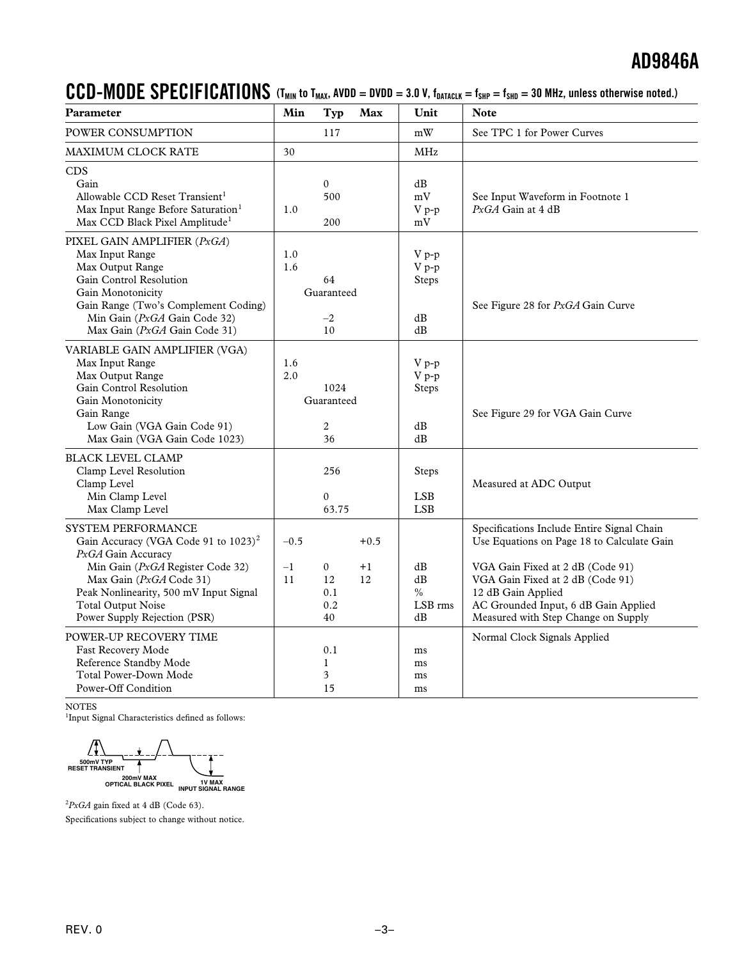# **CCD-MODE SPECIFICATIONS**  $(T_{MIN}$  to  $T_{MAX}$ , AVDD = DVDD = 3.0 V,  $f_{DATACLK} = f_{SHP} = f_{SHD} = 30$  MHz, unless otherwise noted.)

| Parameter                                                                                                                                                                                                                                                                                                                                    | A P WIN SY P WAA<br>Min | Typ                                                | Max                  | V.V *, *UAIAULN<br>Unit                                | <b>Note</b>                                                                                                                                                                                                                                                                                           |
|----------------------------------------------------------------------------------------------------------------------------------------------------------------------------------------------------------------------------------------------------------------------------------------------------------------------------------------------|-------------------------|----------------------------------------------------|----------------------|--------------------------------------------------------|-------------------------------------------------------------------------------------------------------------------------------------------------------------------------------------------------------------------------------------------------------------------------------------------------------|
| POWER CONSUMPTION                                                                                                                                                                                                                                                                                                                            |                         | 117                                                |                      | mW                                                     | See TPC 1 for Power Curves                                                                                                                                                                                                                                                                            |
| <b>MAXIMUM CLOCK RATE</b>                                                                                                                                                                                                                                                                                                                    | 30                      |                                                    |                      | MHz                                                    |                                                                                                                                                                                                                                                                                                       |
| <b>CDS</b><br>Gain<br>Allowable CCD Reset Transient <sup>1</sup><br>Max Input Range Before Saturation <sup>1</sup><br>Max CCD Black Pixel Amplitude <sup>1</sup>                                                                                                                                                                             | 1.0                     | $\mathbf{0}$<br>500<br>200                         |                      | dB<br>mV<br>V p-p<br>mV                                | See Input Waveform in Footnote 1<br>$PxGA$ Gain at 4 dB                                                                                                                                                                                                                                               |
| PIXEL GAIN AMPLIFIER (PxGA)<br>Max Input Range<br>Max Output Range<br>Gain Control Resolution<br>Gain Monotonicity<br>Gain Range (Two's Complement Coding)<br>Min Gain (PxGA Gain Code 32)<br>Max Gain (PxGA Gain Code 31)                                                                                                                   | 1.0<br>1.6              | 64<br>Guaranteed<br>$-2$<br>10                     |                      | $V_{p-p}$<br>$V p-p$<br>Steps<br>dB<br>dB              | See Figure 28 for PxGA Gain Curve                                                                                                                                                                                                                                                                     |
| VARIABLE GAIN AMPLIFIER (VGA)<br>Max Input Range<br>Max Output Range<br>Gain Control Resolution<br>Gain Monotonicity<br>Gain Range<br>Low Gain (VGA Gain Code 91)<br>Max Gain (VGA Gain Code 1023)                                                                                                                                           | 1.6<br>2.0              | 1024<br>Guaranteed<br>2<br>36                      |                      | $V_{p-p}$<br>V p-p<br>Steps<br>dB<br>dB                | See Figure 29 for VGA Gain Curve                                                                                                                                                                                                                                                                      |
| <b>BLACK LEVEL CLAMP</b><br>Clamp Level Resolution<br>Clamp Level<br>Min Clamp Level<br>Max Clamp Level                                                                                                                                                                                                                                      |                         | 256<br>$\overline{0}$<br>63.75                     |                      | <b>Steps</b><br><b>LSB</b><br><b>LSB</b>               | Measured at ADC Output                                                                                                                                                                                                                                                                                |
| SYSTEM PERFORMANCE<br>Gain Accuracy (VGA Code 91 to 1023) <sup>2</sup><br>PxGA Gain Accuracy<br>Min Gain (PxGA Register Code 32)<br>Max Gain (PxGA Code 31)<br>Peak Nonlinearity, 500 mV Input Signal<br><b>Total Output Noise</b><br>Power Supply Rejection (PSR)<br>POWER-UP RECOVERY TIME<br>Fast Recovery Mode<br>Reference Standby Mode | $-0.5$<br>$-1$<br>11    | $\mathbf{0}$<br>12<br>0.1<br>0.2<br>40<br>0.1<br>1 | $+0.5$<br>$+1$<br>12 | dB<br>dB<br>$\frac{0}{0}$<br>LSB rms<br>dB<br>ms<br>ms | Specifications Include Entire Signal Chain<br>Use Equations on Page 18 to Calculate Gain<br>VGA Gain Fixed at 2 dB (Code 91)<br>VGA Gain Fixed at 2 dB (Code 91)<br>12 dB Gain Applied<br>AC Grounded Input, 6 dB Gain Applied<br>Measured with Step Change on Supply<br>Normal Clock Signals Applied |
| Total Power-Down Mode<br>Power-Off Condition                                                                                                                                                                                                                                                                                                 |                         | 3<br>15                                            |                      | ms<br>ms                                               |                                                                                                                                                                                                                                                                                                       |

NOTES

<sup>1</sup>Input Signal Characteristics defined as follows:

**200mV MAX OPTICAL BLACK PIXEL 1V MAX INPUT SIGNAL RANGE 500mV TYP RESET TRANSIENT**

2 *PxGA* gain fixed at 4 dB (Code 63).

Specifications subject to change without notice.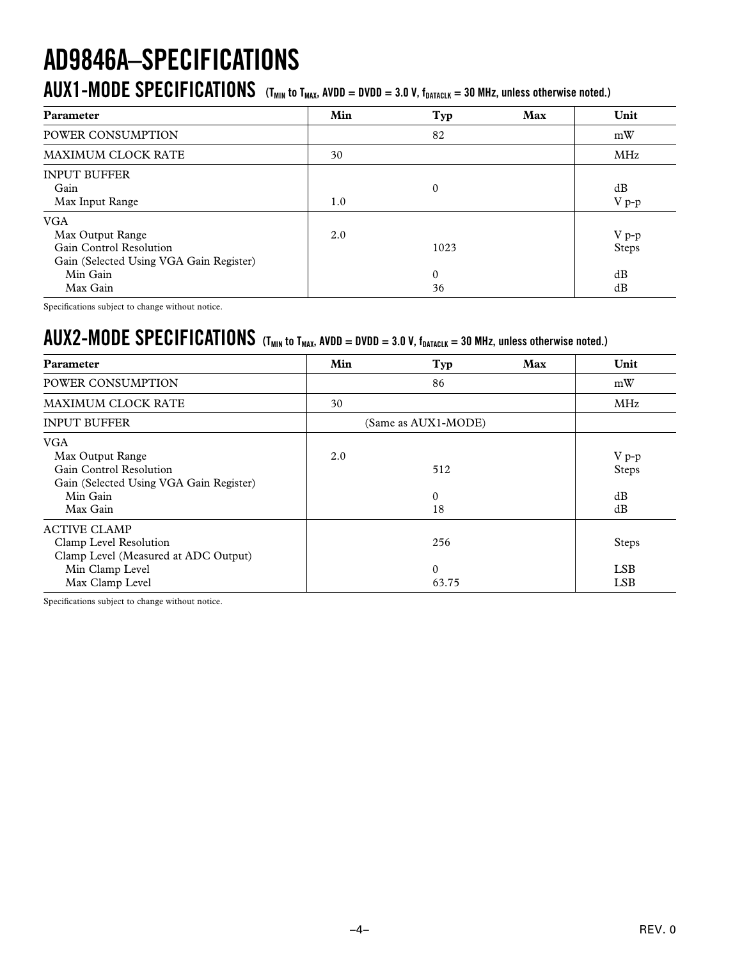# **AD9846A–SPECIFICATIONS**

# $\bm{AUX1}$  –  $\bm{MODE}$   $\bm{SPECIFICATIONS}$  (T<sub>MIN</sub> to T<sub>MAX</sub>, AVDD = DVDD = 3.0 V, f<sub>DATACLK</sub> = 30 MHz, unless otherwise noted.)

| <b>Parameter</b>                                                                                     | Min | Typ                | Max | Unit             |
|------------------------------------------------------------------------------------------------------|-----|--------------------|-----|------------------|
| POWER CONSUMPTION                                                                                    |     | 82                 |     | mW               |
| <b>MAXIMUM CLOCK RATE</b>                                                                            | 30  |                    |     | MHz              |
| <b>INPUT BUFFER</b><br>Gain<br>Max Input Range                                                       | 1.0 | $\theta$           |     | dB<br>V p-p      |
| <b>VGA</b><br>Max Output Range<br>Gain Control Resolution<br>Gain (Selected Using VGA Gain Register) | 2.0 | 1023               |     | $V p-p$<br>Steps |
| Min Gain<br>Max Gain                                                                                 |     | $\mathbf{0}$<br>36 |     | dB<br>dB         |

Specifications subject to change without notice.

# $\textbf{AUX2-MDDE SPECIFICATIONS}$  (T<sub>MIN</sub> to T<sub>MAX</sub>, AVDD = DVDD = 3.0 V,  $f_{\texttt{DATACLK}}$  = 30 MHz, unless otherwise noted.)

| <b>Parameter</b>                                                                                                             | Min | Typ                          | Max | Unit                                     |  |  |  |  |
|------------------------------------------------------------------------------------------------------------------------------|-----|------------------------------|-----|------------------------------------------|--|--|--|--|
| POWER CONSUMPTION                                                                                                            |     | 86                           |     | mW                                       |  |  |  |  |
| <b>MAXIMUM CLOCK RATE</b>                                                                                                    | 30  |                              |     | MHz                                      |  |  |  |  |
| <b>INPUT BUFFER</b>                                                                                                          |     | (Same as AUX1-MODE)          |     |                                          |  |  |  |  |
| <b>VGA</b><br>Max Output Range<br>Gain Control Resolution<br>Gain (Selected Using VGA Gain Register)<br>Min Gain<br>Max Gain | 2.0 | 512<br>$\mathbf{0}$<br>18    |     | $V p-p$<br><b>Steps</b><br>dB<br>dB      |  |  |  |  |
| <b>ACTIVE CLAMP</b><br>Clamp Level Resolution<br>Clamp Level (Measured at ADC Output)<br>Min Clamp Level<br>Max Clamp Level  |     | 256<br>$\mathbf{0}$<br>63.75 |     | <b>Steps</b><br><b>LSB</b><br><b>LSB</b> |  |  |  |  |

Specifications subject to change without notice.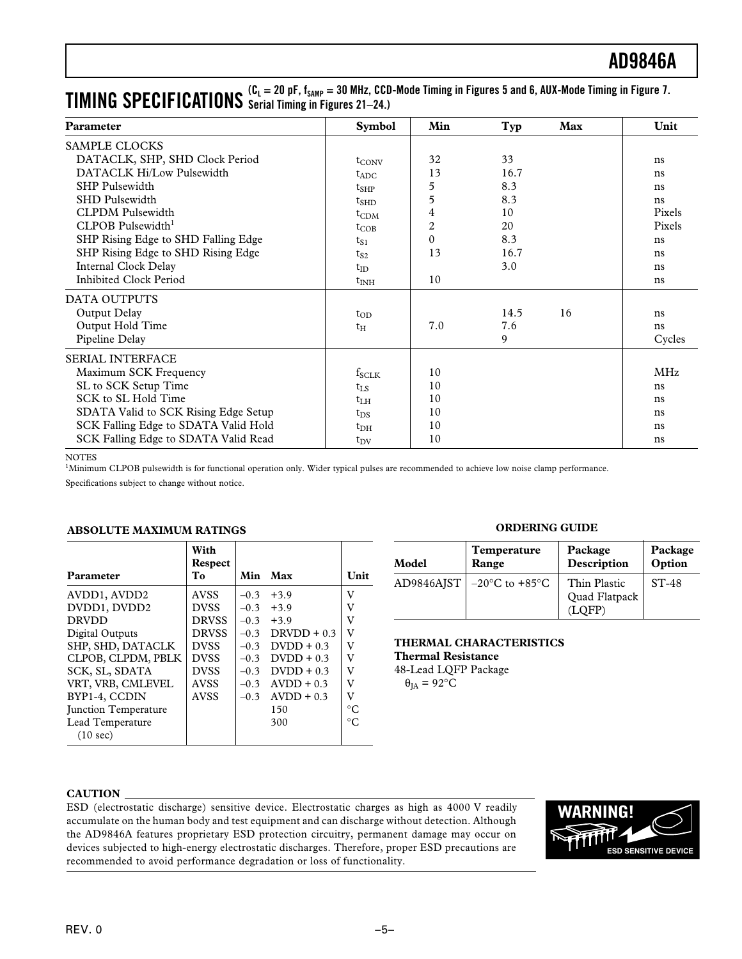# $\boldsymbol{\Pi}$   $\boldsymbol{\Pi}$   $\boldsymbol{\Pi}$   $\boldsymbol{\Gamma}$   $\boldsymbol{\Gamma}$   $\boldsymbol{\Pi}$   $\boldsymbol{\Pi}$   $\boldsymbol{\Pi}$   $\boldsymbol{\Pi}$   $\boldsymbol{\Pi}$   $\boldsymbol{\Sigma}$   $\boldsymbol{\Sigma}$   $\boldsymbol{\Gamma}$   $\boldsymbol{\Sigma}$   $\boldsymbol{\Sigma}$   $\boldsymbol{\Gamma}$   $\boldsymbol{\Sigma}$   $\boldsymbol{\Sigma}$   $\boldsymbol{\Sigma}$   $\boldsymbol{\Sigma}$   $\boldsymbol{\Sigma}$   $\boldsymbol{\Sigma}$   $\boldsymbol{\Sigma}$   $\boldsymbol{\Sigma}$   $\boldsymbol{\$ **Serial Timing in Figures 21–24.)**

| Parameter                            | <b>Symbol</b>     | Min            | Typ  | Max | Unit       |
|--------------------------------------|-------------------|----------------|------|-----|------------|
| SAMPLE CLOCKS                        |                   |                |      |     |            |
| DATACLK, SHP, SHD Clock Period       | $t_{\text{CONV}}$ | 32             | 33   |     | ns         |
| DATACLK Hi/Low Pulsewidth            | $t_{ADC}$         | 13             | 16.7 |     | ns         |
| <b>SHP</b> Pulsewidth                | $t_{SHP}$         | 5              | 8.3  |     | ns         |
| <b>SHD</b> Pulsewidth                | $t_{\text{SHD}}$  | 5              | 8.3  |     | ns         |
| <b>CLPDM</b> Pulsewidth              | $t_{CDM}$         | 4              | 10   |     | Pixels     |
| CLPOB Pulsewidth <sup>1</sup>        | $t_{\rm COB}$     | $\overline{c}$ | 20   |     | Pixels     |
| SHP Rising Edge to SHD Falling Edge  | $t_{S1}$          | $\Omega$       | 8.3  |     | ns         |
| SHP Rising Edge to SHD Rising Edge   | $t_{S2}$          | 13             | 16.7 |     | ns         |
| Internal Clock Delay                 | $t_{ID}$          |                | 3.0  |     | ns         |
| <b>Inhibited Clock Period</b>        | $t_{\rm INH}$     | 10             |      |     | ns         |
| DATA OUTPUTS                         |                   |                |      |     |            |
| Output Delay                         | $t_{OD}$          |                | 14.5 | 16  | ns         |
| Output Hold Time                     | $t_H$             | 7.0            | 7.6  |     | ns         |
| Pipeline Delay                       |                   |                | 9    |     | Cycles     |
| <b>SERIAL INTERFACE</b>              |                   |                |      |     |            |
| Maximum SCK Frequency                | $f_{SCLK}$        | 10             |      |     | <b>MHz</b> |
| SL to SCK Setup Time                 | $t_{LS}$          | 10             |      |     | ns         |
| SCK to SL Hold Time                  | $t_{\rm LH}$      | 10             |      |     | ns         |
| SDATA Valid to SCK Rising Edge Setup | $t_{DS}$          | 10             |      |     | ns         |
| SCK Falling Edge to SDATA Valid Hold | $t_{\rm DH}$      | 10             |      |     | ns         |
| SCK Falling Edge to SDATA Valid Read | $t_{\rm DV}$      | 10             |      |     | ns         |

**NOTES** 

<sup>1</sup>Minimum CLPOB pulsewidth is for functional operation only. Wider typical pulses are recommended to achieve low noise clamp performance.

Specifications subject to change without notice.

| <b>ABSOLUTE MAXIMUM RATINGS</b> |  |
|---------------------------------|--|
|                                 |  |

|                             | With<br>Respect |        |               |             |
|-----------------------------|-----------------|--------|---------------|-------------|
| Parameter                   | To              | Min    | Max           | Unit        |
| AVDD1, AVDD2                | <b>AVSS</b>     | $-0.3$ | $+3.9$        | V           |
| DVDD1, DVDD2                | <b>DVSS</b>     | $-0.3$ | $+3.9$        | V           |
| <b>DRVDD</b>                | <b>DRVSS</b>    | $-0.3$ | $+3.9$        | V           |
| Digital Outputs             | <b>DRVSS</b>    | $-0.3$ | $DRVDD + 0.3$ | V           |
| SHP, SHD, DATACLK           | <b>DVSS</b>     | $-0.3$ | $D VDD + 0.3$ | V           |
| CLPOB, CLPDM, PBLK          | <b>DVSS</b>     | $-0.3$ | $D VDD + 0.3$ | V           |
| SCK, SL, SDATA              | <b>DVSS</b>     | $-0.3$ | $D VDD + 0.3$ | V           |
| VRT, VRB, CMLEVEL           | <b>AVSS</b>     | $-0.3$ | $AVDD + 0.3$  | v           |
| BYP1-4, CCDIN               | <b>AVSS</b>     | $-0.3$ | $AVDD + 0.3$  | V           |
| <b>Iunction Temperature</b> |                 |        | 150           | $^{\circ}C$ |
| Lead Temperature            |                 |        | 300           | $^{\circ}C$ |
| (10 sec)                    |                 |        |               |             |

### **ORDERING GUIDE**

| Model | <b>Temperature</b>                | Package                                 | Package |
|-------|-----------------------------------|-----------------------------------------|---------|
|       | Range                             | Description                             | Option  |
|       | AD9846AJST $\vert$ -20°C to +85°C | Thin Plastic<br>Quad Flatpack<br>(LOFP) | $ST-48$ |

# **THERMAL CHARACTERISTICS**

**Thermal Resistance** 48-Lead LQFP Package  $\theta_{IA} = 92$ °C

### **CAUTION**

ESD (electrostatic discharge) sensitive device. Electrostatic charges as high as 4000 V readily accumulate on the human body and test equipment and can discharge without detection. Although the AD9846A features proprietary ESD protection circuitry, permanent damage may occur on devices subjected to high-energy electrostatic discharges. Therefore, proper ESD precautions are recommended to avoid performance degradation or loss of functionality.

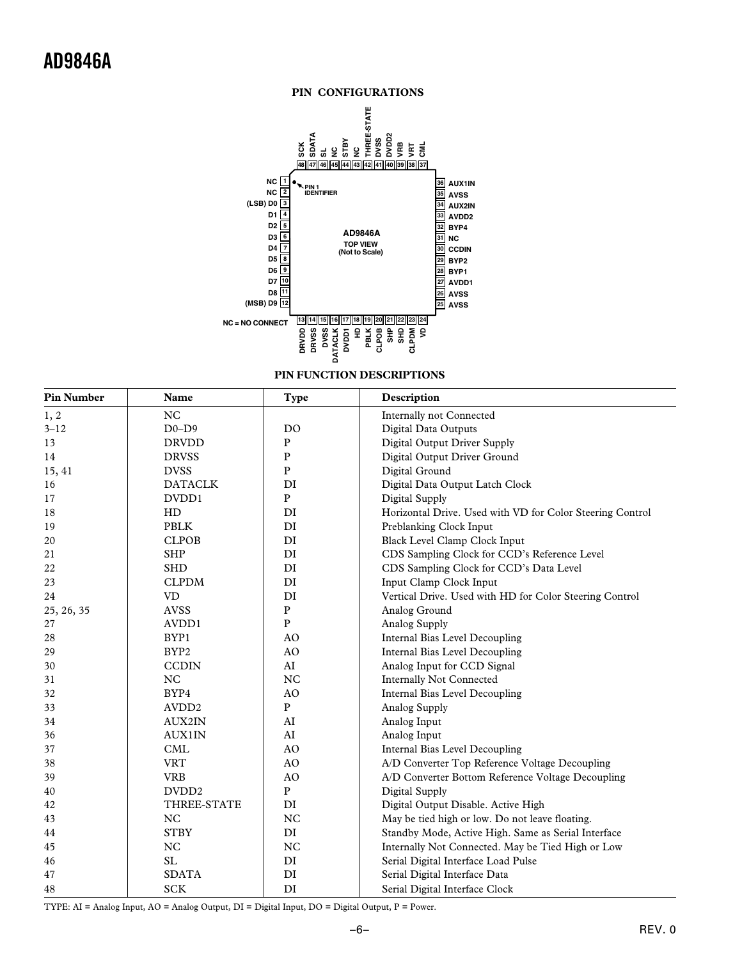

### **PIN FUNCTION DESCRIPTIONS**

| <b>Pin Number</b> | Name                          | Type                   | Description                                               |
|-------------------|-------------------------------|------------------------|-----------------------------------------------------------|
| 1, 2              | $_{\rm NC}$                   |                        | Internally not Connected                                  |
| $3 - 12$          | $D0-D9$                       | D <sub>O</sub>         | Digital Data Outputs                                      |
| 13                | <b>DRVDD</b>                  | ${\bf P}$              | Digital Output Driver Supply                              |
| 14                | <b>DRVSS</b>                  | ${\bf P}$              | Digital Output Driver Ground                              |
| 15, 41            | <b>DVSS</b>                   | ${\bf P}$              | Digital Ground                                            |
| 16                | <b>DATACLK</b>                | DI                     | Digital Data Output Latch Clock                           |
| 17                | DVDD1                         | ${\bf P}$              | Digital Supply                                            |
| 18                | HD                            | DI                     | Horizontal Drive. Used with VD for Color Steering Control |
| 19                | <b>PBLK</b>                   | $\mathbf{D}\mathbf{I}$ | Preblanking Clock Input                                   |
| 20                | <b>CLPOB</b>                  | $\mathbf{D}\mathbf{I}$ | Black Level Clamp Clock Input                             |
| 21                | <b>SHP</b>                    | DI                     | CDS Sampling Clock for CCD's Reference Level              |
| 22                | <b>SHD</b>                    | DI                     | CDS Sampling Clock for CCD's Data Level                   |
| 23                | <b>CLPDM</b>                  | DI                     | Input Clamp Clock Input                                   |
| 24                | <b>VD</b>                     | DI                     | Vertical Drive. Used with HD for Color Steering Control   |
| 25, 26, 35        | <b>AVSS</b>                   | ${\bf P}$              | Analog Ground                                             |
| 27                | AVDD1                         | $\, {\bf P}$           | Analog Supply                                             |
| 28                | BYP1                          | AO                     | Internal Bias Level Decoupling                            |
| 29                | BYP2                          | AO                     | Internal Bias Level Decoupling                            |
| 30                | <b>CCDIN</b>                  | AI                     | Analog Input for CCD Signal                               |
| 31                | NC                            | <b>NC</b>              | <b>Internally Not Connected</b>                           |
| 32                | BYP4                          | AO                     | Internal Bias Level Decoupling                            |
| 33                | AVDD <sub>2</sub>             | ${\bf P}$              | Analog Supply                                             |
| 34                | <b>AUX2IN</b>                 | AI                     | Analog Input                                              |
| 36                | <b>AUX1IN</b>                 | AI                     | Analog Input                                              |
| 37                | <b>CML</b>                    | AO                     | Internal Bias Level Decoupling                            |
| 38                | <b>VRT</b>                    | AO                     | A/D Converter Top Reference Voltage Decoupling            |
| 39                | <b>VRB</b>                    | AO                     | A/D Converter Bottom Reference Voltage Decoupling         |
| 40                | $\ensuremath{\mathrm{DVDD2}}$ | ${\bf P}$              | Digital Supply                                            |
| 42                | THREE-STATE                   | DI                     | Digital Output Disable. Active High                       |
| 43                | NC                            | NC                     | May be tied high or low. Do not leave floating.           |
| 44                | <b>STBY</b>                   | $\mathop{\rm DI}$      | Standby Mode, Active High. Same as Serial Interface       |
| 45                | NC                            | <b>NC</b>              | Internally Not Connected. May be Tied High or Low         |
| 46                | SL                            | DI                     | Serial Digital Interface Load Pulse                       |
| 47                | <b>SDATA</b>                  | DI                     | Serial Digital Interface Data                             |
| 48                | <b>SCK</b>                    | DI                     | Serial Digital Interface Clock                            |

TYPE: AI = Analog Input, AO = Analog Output, DI = Digital Input, DO = Digital Output, P = Power.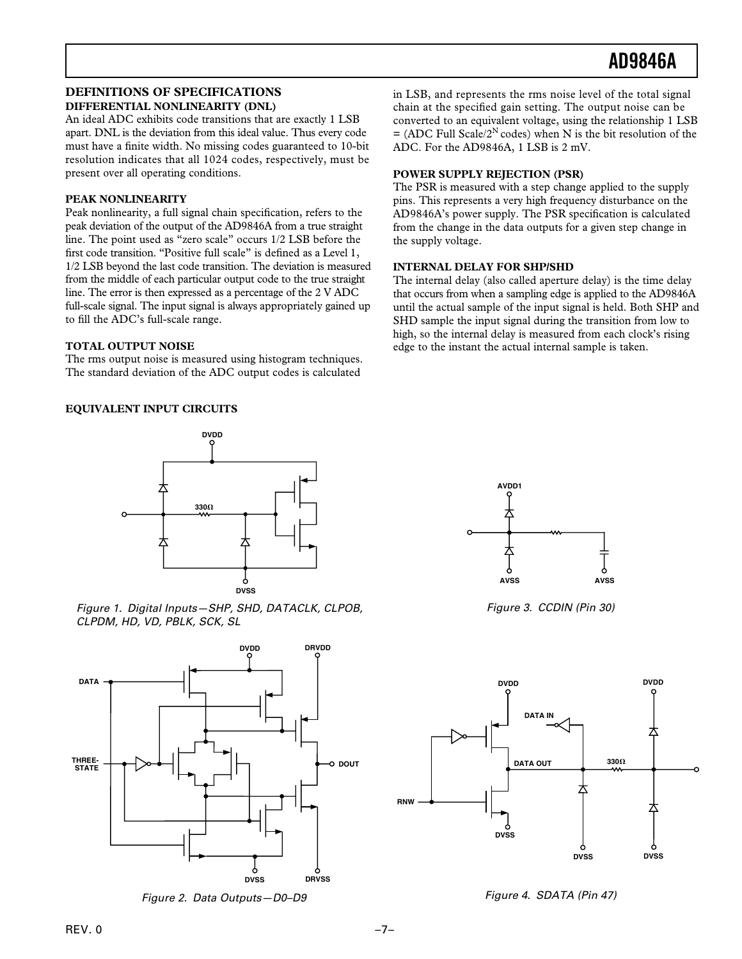### **DEFINITIONS OF SPECIFICATIONS DIFFERENTIAL NONLINEARITY (DNL)**

An ideal ADC exhibits code transitions that are exactly 1 LSB apart. DNL is the deviation from this ideal value. Thus every code must have a finite width. No missing codes guaranteed to 10-bit resolution indicates that all 1024 codes, respectively, must be present over all operating conditions.

### **PEAK NONLINEARITY**

Peak nonlinearity, a full signal chain specification, refers to the peak deviation of the output of the AD9846A from a true straight line. The point used as "zero scale" occurs 1/2 LSB before the first code transition. "Positive full scale" is defined as a Level 1, 1/2 LSB beyond the last code transition. The deviation is measured from the middle of each particular output code to the true straight line. The error is then expressed as a percentage of the 2 V ADC full-scale signal. The input signal is always appropriately gained up to fill the ADC's full-scale range.

### **TOTAL OUTPUT NOISE**

The rms output noise is measured using histogram techniques. The standard deviation of the ADC output codes is calculated

### **EQUIVALENT INPUT CIRCUITS**



Figure 1. Digital Inputs—SHP, SHD, DATACLK, CLPOB, CLPDM, HD, VD, PBLK, SCK, SL



Figure 2. Data Outputs—D0–D9

in LSB, and represents the rms noise level of the total signal chain at the specified gain setting. The output noise can be converted to an equivalent voltage, using the relationship 1 LSB  $=$  (ADC Full Scale/2<sup>N</sup> codes) when N is the bit resolution of the ADC. For the AD9846A, 1 LSB is 2 mV.

### **POWER SUPPLY REJECTION (PSR)**

The PSR is measured with a step change applied to the supply pins. This represents a very high frequency disturbance on the AD9846A's power supply. The PSR specification is calculated from the change in the data outputs for a given step change in the supply voltage.

### **INTERNAL DELAY FOR SHP/SHD**

The internal delay (also called aperture delay) is the time delay that occurs from when a sampling edge is applied to the AD9846A until the actual sample of the input signal is held. Both SHP and SHD sample the input signal during the transition from low to high, so the internal delay is measured from each clock's rising edge to the instant the actual internal sample is taken.



Figure 3. CCDIN (Pin 30)



Figure 4. SDATA (Pin 47)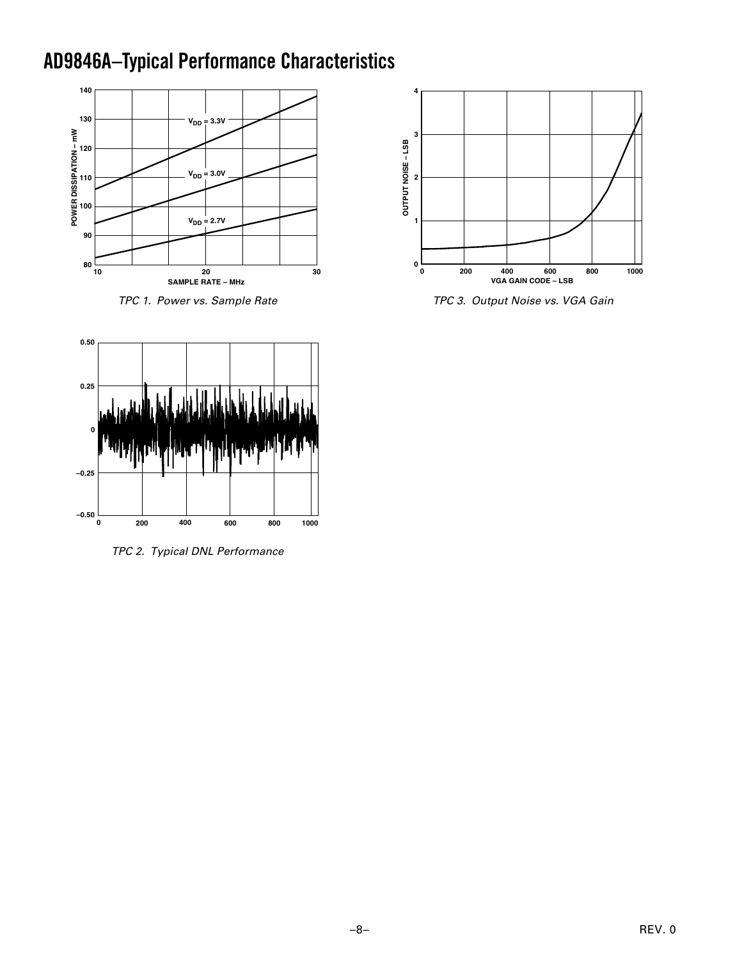# **AD9846A –Typical Performance Characteristics**







TPC 3. Output Noise vs. VGA Gain



TPC 2. Typical DNL Performance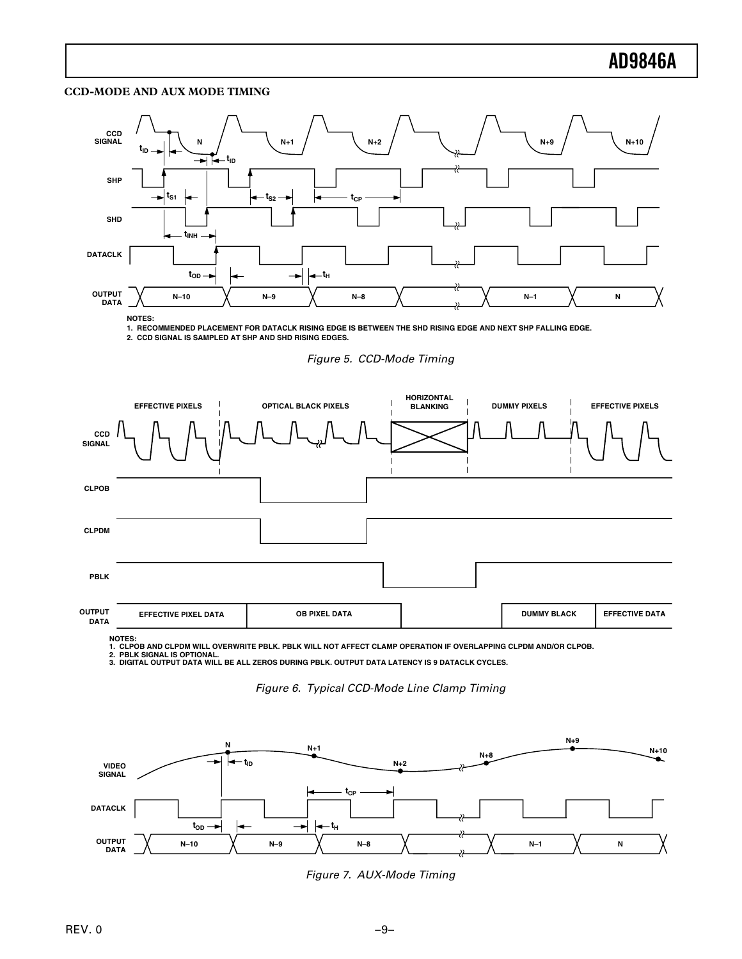#### **CCD-MODE AND AUX MODE TIMING**



**1. RECOMMENDED PLACEMENT FOR DATACLK RISING EDGE IS BETWEEN THE SHD RISING EDGE AND NEXT SHP FALLING EDGE.**

**2. CCD SIGNAL IS SAMPLED AT SHP AND SHD RISING EDGES.**

Figure 5. CCD-Mode Timing



NOTES:<br>1. CLPOB AND CLPDM WILL OVERWRITE PBLK. PBLK WILL NOT AFFECT CLAMP OPERATION IF OVERLAPPING CLPDM AND/OR CLPOB.<br>2. PBLK SIGNAL IS OPTIONAL.<br>3. DIGITAL OUTPUT DATA WILL BE ALL ZEROS DURING PBLK. OUTPUT DATA LATENCY





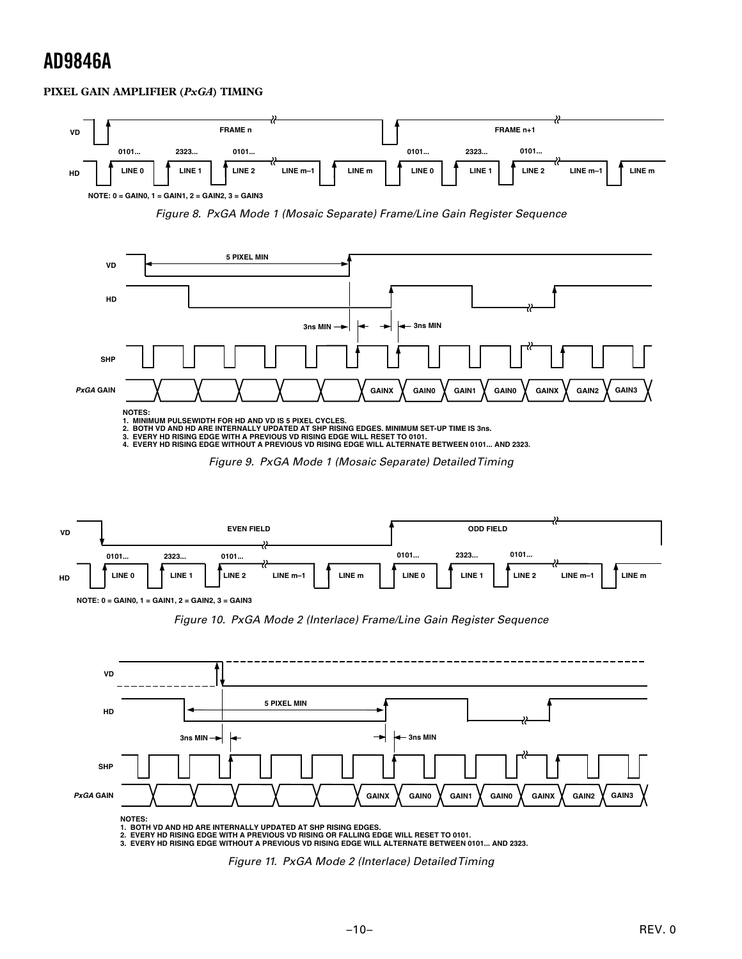# **PIXEL GAIN AMPLIFIER (***PxGA***) TIMING**



Figure 9. PxGA Mode 1 (Mosaic Separate) Detailed Timing







**3. EVERY HD RISING EDGE WITHOUT A PREVIOUS VD RISING EDGE WILL ALTERNATE BETWEEN 0101... AND 2323.**

Figure 11. PxGA Mode 2 (Interlace) Detailed Timing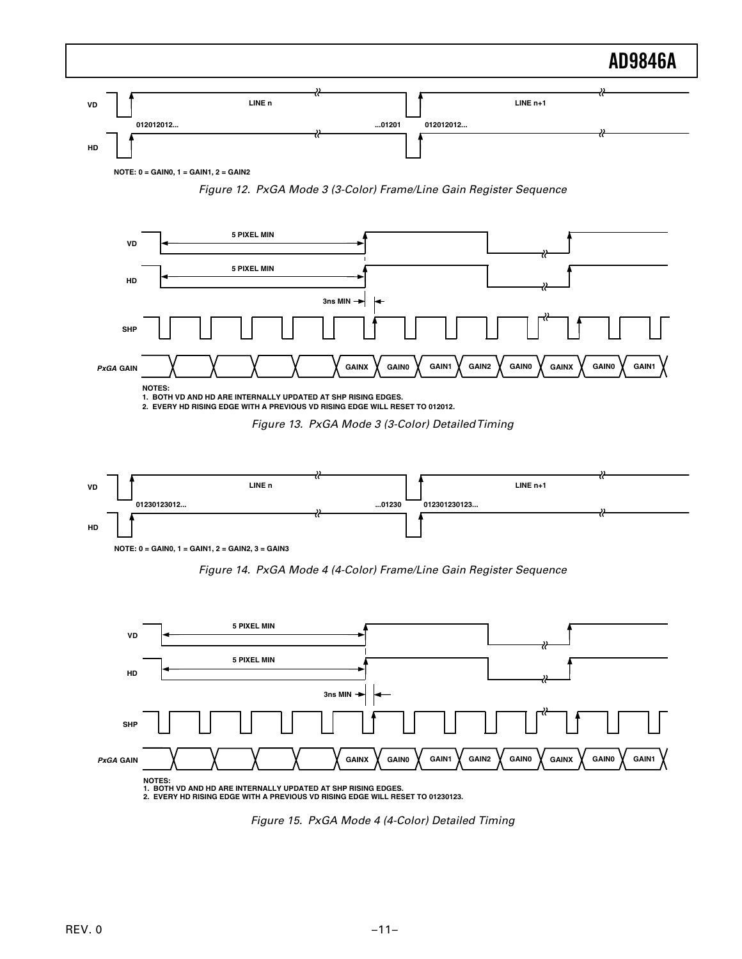

**1. BOTH VD AND HD ARE INTERNALLY UPDATED AT SHP RISING EDGES. 2. EVERY HD RISING EDGE WITH A PREVIOUS VD RISING EDGE WILL RESET TO 01230123.**

Figure 15. PxGA Mode 4 (4-Color) Detailed Timing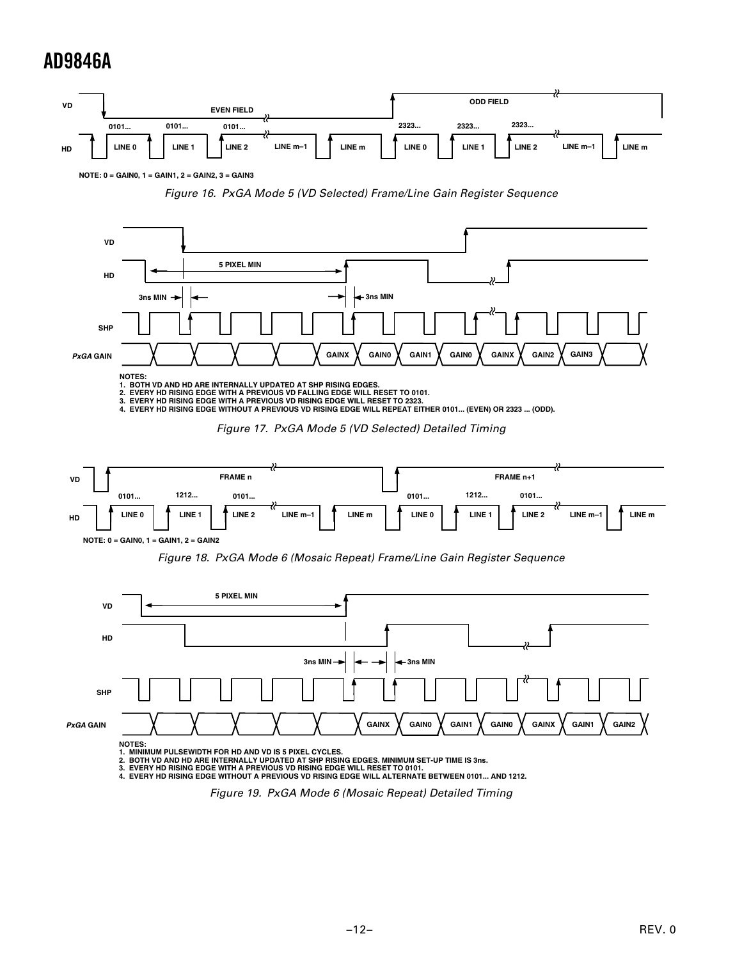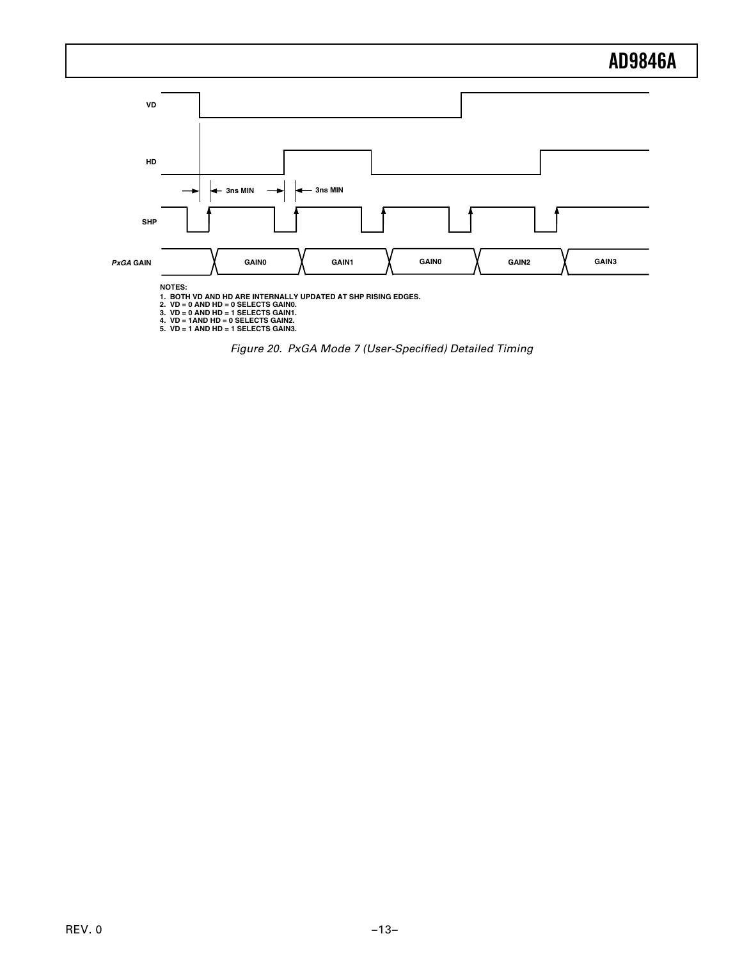

1. BOTH VD AND HD ARE INTERNALLY UPDATED AT SHP RISING EDGES.<br>2. VD = 0 AND HD = 0 SELECTS GAIN0.<br>3. VD = 0 AND HD = 1 SELECTS GAIN1.<br>4. VD = 1AND HD = 0 SELECTS GAIN2.<br>5. VD = 1 AND HD = 1 SELECTS GAIN2.

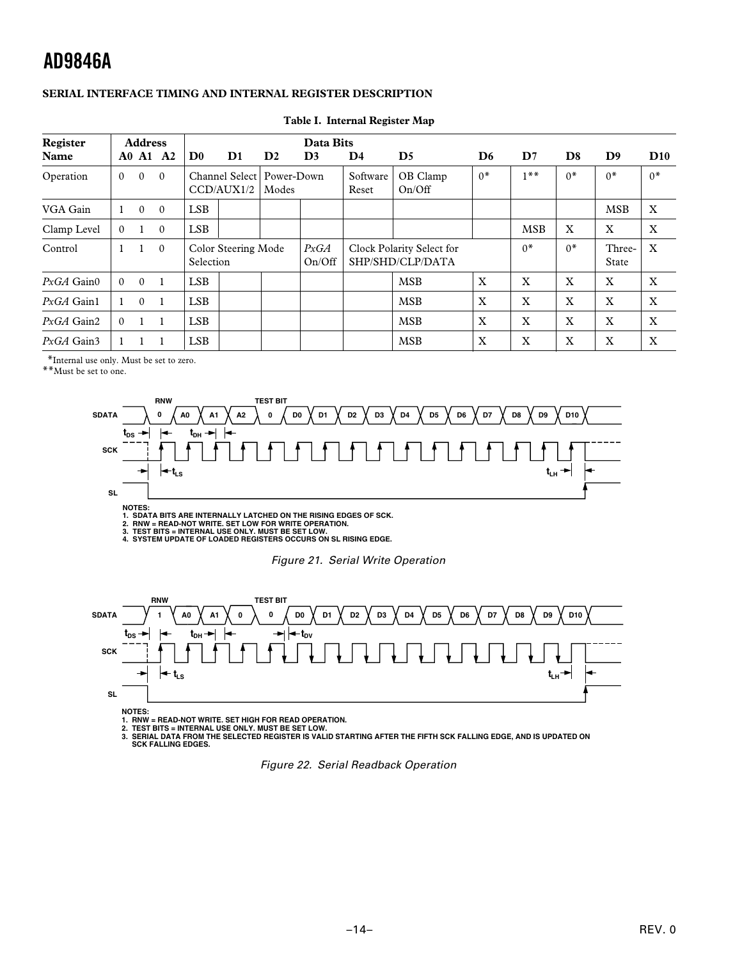## **SERIAL INTERFACE TIMING AND INTERNAL REGISTER DESCRIPTION**

| Register           |          | <b>Address</b> |          |                           |                                                    |               | Data Bits      |                                               |                    |                |               |                 |                           |                           |
|--------------------|----------|----------------|----------|---------------------------|----------------------------------------------------|---------------|----------------|-----------------------------------------------|--------------------|----------------|---------------|-----------------|---------------------------|---------------------------|
| Name               |          |                | A0 A1 A2 | $\mathbf{D}$ <sup>0</sup> | $\mathbf{D}$                                       | $\mathbf{D}2$ | D <sub>3</sub> | $\mathbf{D}4$                                 | $\mathbf{D}5$      | D <sub>6</sub> | $\mathbf{D}7$ | D <sub>8</sub>  | D <sub>9</sub>            | D10                       |
| Operation          | $\theta$ | $\Omega$       | $\Omega$ |                           | Channel Select   Power-Down<br>CCD/AUX1/2          | Modes         |                | Software<br>Reset                             | OB Clamp<br>On/Off | $0^*$          | $1***$        | $0^*$           | $0*$                      | $0^*$                     |
| VGA Gain           |          | $\Omega$       | $\theta$ | <b>LSB</b>                |                                                    |               |                |                                               |                    |                |               |                 | <b>MSB</b>                | $\mathbf{X}$              |
| Clamp Level        | $\Omega$ |                | $\theta$ | <b>LSB</b>                |                                                    |               |                |                                               |                    |                | <b>MSB</b>    | X               | X                         | $\boldsymbol{\mathrm{X}}$ |
| Control            |          |                | $\theta$ |                           | PxGA<br>Color Steering Mode<br>Selection<br>On/Off |               |                | Clock Polarity Select for<br>SHP/SHD/CLP/DATA |                    | $0*$           | $0*$          | Three-<br>State | $\boldsymbol{\mathrm{X}}$ |                           |
| $P x G A$ Gain $0$ | $\Omega$ | $\Omega$       | -1       | <b>LSB</b>                |                                                    |               |                |                                               | <b>MSB</b>         | X              | X             | X               | X                         | $\boldsymbol{\mathrm{X}}$ |
| $PxGA$ Gain1       |          | $\Omega$       | 1        | <b>LSB</b>                |                                                    |               |                |                                               | <b>MSB</b>         | X              | X             | X               | X                         | X                         |
| $PxGA$ Gain2       | $\Omega$ |                | 1        | <b>LSB</b>                |                                                    |               |                |                                               | <b>MSB</b>         | X              | X             | X               | X                         | X                         |
| $PxGA$ Gain3       |          |                |          | <b>LSB</b>                |                                                    |               |                |                                               | <b>MSB</b>         | X              | X             | X               | X                         | X                         |

#### **Table I. Internal Register Map**

\*Internal use only. Must be set to zero.

\*\*Must be set to one.



NOTES:<br>1. SDATA BITS ARE INTERNALLY LATCHED ON THE RISING EDGES OF SCK.<br>2. RNW = READ-NOT WRITE. SET LOW FOR WRITE OPERATION.<br>3. TEST BITS = INTERNAL USE ONLY. MUST BE SET LOW.<br>4. SYSTEM UPDATE OF LOADED REGISTERS OCCURS O

Figure 21. Serial Write Operation



NOTES:<br>1. RNW = READ-NOT WRITE. SET HIGH FOR READ OPERATION.<br>2. TEST BITS = INTERNAL USE ONLY. MUST BE SET LOW.<br>3. SERIAL DATA FROM THE SELECTED REGISTER IS VALID STARTING AFTER THE FIFTH SCK FALLING EDGE, AND IS UPDATED O

Figure 22. Serial Readback Operation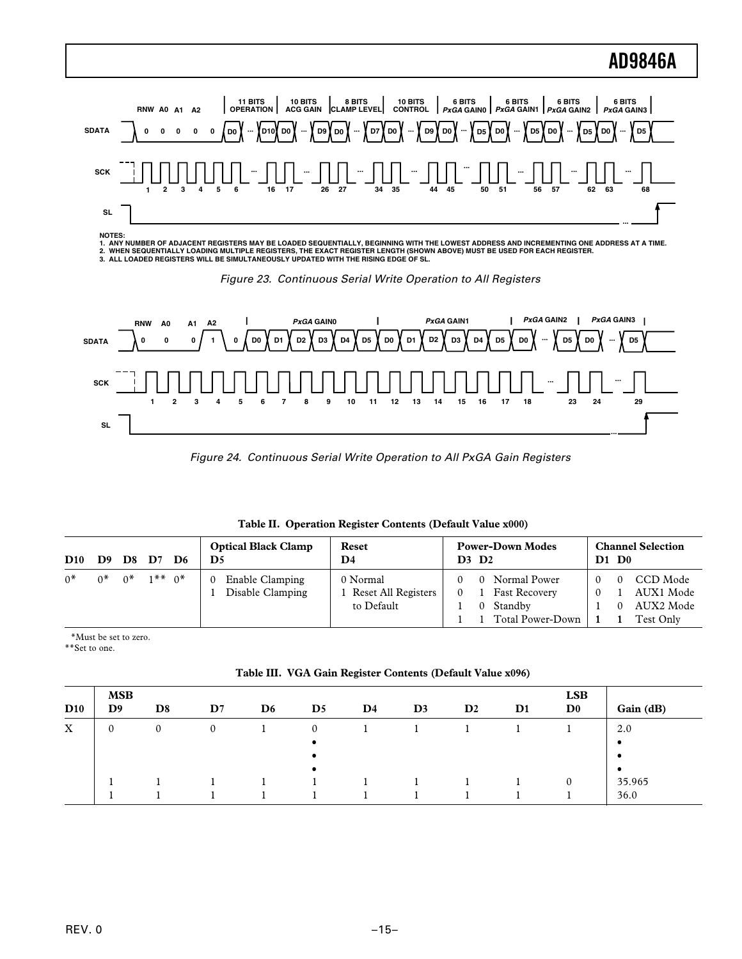

NOTES:<br>1. ANY NUMBER OF ADJACENT REGISTERS MAY BE LOADED SEQUENTIALLY, BEGINNING WITH THE LOWEST ADDRESS AND INCREMENTING ONE ADDRESS AT A TIME.<br>2. WHEN SEQUENTIALLY LOADING MULTIPLE REGISTERS, THE EXACT REGISTER LENGTH (

Figure 23. Continuous Serial Write Operation to All Registers



Figure 24. Continuous Serial Write Operation to All PxGA Gain Registers

| Table II. Operation Register Contents (Default Value x000) |  |  |  |
|------------------------------------------------------------|--|--|--|
|                                                            |  |  |  |

| $\mathbf{D}10$ | D9    |                 | D8 D7 D6 | <b>Optical Black Clamp</b><br>D5 | Reset<br>D4           | D3 D2 |  | <b>Power-Down Modes</b> | $D1$ $D0$ |          | <b>Channel Selection</b> |
|----------------|-------|-----------------|----------|----------------------------------|-----------------------|-------|--|-------------------------|-----------|----------|--------------------------|
| $0*$           | $0^*$ | $0^*$ 1** $0^*$ |          | Enable Clamping                  | 0 Normal              |       |  | 0 Normal Power          |           | $\Omega$ | CCD Mode                 |
|                |       |                 |          | Disable Clamping                 | 1 Reset All Registers |       |  | 1 Fast Recovery         |           |          | AUX1 Mode                |
|                |       |                 |          |                                  | to Default            |       |  | 0 Standby               |           | $\Omega$ | AUX2 Mode                |
|                |       |                 |          |                                  |                       |       |  | Total Power-Down        |           |          | Test Only                |

\*Must be set to zero.

\*\*Set to one.

|  |  |  |  |  | Table III. VGA Gain Register Contents (Default Value x096) |
|--|--|--|--|--|------------------------------------------------------------|
|--|--|--|--|--|------------------------------------------------------------|

| D10 | <b>MSB</b><br>D <sub>9</sub> | D <sub>8</sub> | $\mathbf{D}7$ | D <sub>6</sub> | D5                    | D4 | D <sub>3</sub> | D2 | $\mathbf{D}1$ | <b>LSB</b><br>$\mathbf{D}^0$ | Gain (dB)        |
|-----|------------------------------|----------------|---------------|----------------|-----------------------|----|----------------|----|---------------|------------------------------|------------------|
| X   | $\mathbf{0}$                 | $\mathbf{0}$   | $\Omega$      |                | $\Omega$<br>$\bullet$ |    |                |    |               |                              | 2.0<br>$\bullet$ |
|     |                              |                |               |                |                       |    |                |    |               | $\mathbf{0}$                 | 35.965<br>36.0   |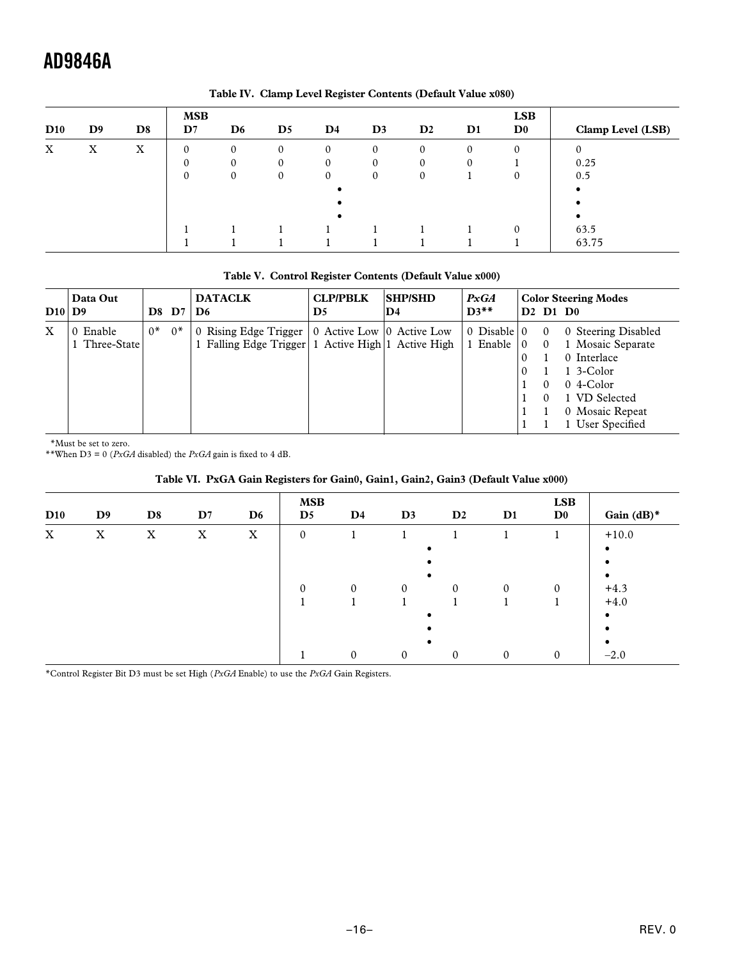| D10 | D <sub>9</sub> | D <sub>8</sub> | <b>MSB</b><br>$\mathbf{D}7$ | D <sub>6</sub> | D <sub>5</sub> | $\mathbf{D}4$ | D <sub>3</sub> | $\mathbf{D}2$ | $\mathbf{D}1$ | <b>LSB</b><br>$\mathbf{D}0$ | Clamp Level (LSB) |
|-----|----------------|----------------|-----------------------------|----------------|----------------|---------------|----------------|---------------|---------------|-----------------------------|-------------------|
| X   | X              | X              | $\theta$                    | $\mathbf{0}$   | 0              | $\mathbf{0}$  | $\mathbf{0}$   | $\mathbf{0}$  | $\mathbf{0}$  | $\Omega$                    | 0                 |
|     |                |                | $\Omega$                    |                |                | $\mathbf{0}$  | $\mathbf{0}$   | $\mathbf{0}$  | 0             |                             | 0.25              |
|     |                |                | $\Omega$                    | 0              |                | $\mathbf{0}$  | $\Omega$       | $\mathbf{0}$  |               |                             | 0.5               |
|     |                |                |                             |                |                |               |                |               |               |                             |                   |
|     |                |                |                             |                |                |               |                |               |               |                             |                   |
|     |                |                |                             |                |                |               |                |               |               |                             |                   |
|     |                |                |                             |                |                |               |                |               |               | $\Omega$                    | 63.5              |
|     |                |                |                             |                |                |               |                |               |               |                             | 63.75             |

**Table IV. Clamp Level Register Contents (Default Value x080)**

# **Table V. Control Register Contents (Default Value x000)**

| D10           | Data Out<br>D9        | D8.  | D7    | <b>DATACLK</b><br>D6                                                            | <b>CLP/PBLK</b><br>D5       | <b>SHP/SHD</b><br>D4 | PxGA<br>$D3***$                       |                            | D <sub>2</sub> D <sub>1</sub> D <sub>0</sub> | <b>Color Steering Modes</b>                                                                                                 |
|---------------|-----------------------|------|-------|---------------------------------------------------------------------------------|-----------------------------|----------------------|---------------------------------------|----------------------------|----------------------------------------------|-----------------------------------------------------------------------------------------------------------------------------|
| X<br>$\Omega$ | Enable<br>Three-State | $0*$ | $0^*$ | 0 Rising Edge Trigger<br>1 Falling Edge Trigger   1 Active High   1 Active High | 0 Active Low   0 Active Low |                      | 0 Disable $\vert 0 \vert$<br>1 Enable | 10<br>$\theta$<br>$\theta$ | $\Omega$<br>$\Omega$                         | 0 Steering Disabled<br>1 Mosaic Separate<br>0 Interlace<br>$1.3$ -Color<br>$0.4$ -Color<br>1 VD Selected<br>0 Mosaic Repeat |

\*Must be set to zero.

\*\*When D3 = 0 (*PxGA* disabled) the *PxGA* gain is fixed to 4 dB.

| D10                       | D <sub>9</sub> | D <sub>8</sub> | $\mathbf{D}7$ | D <sub>6</sub> | <b>MSB</b><br>$\mathbf{D}5$ | $\mathbf{D}4$ | D3           | $\mathbf{D}2$ | $\mathbf{D}1$ | <b>LSB</b><br>$\mathbf{D}0$ | Gain (dB)*            |
|---------------------------|----------------|----------------|---------------|----------------|-----------------------------|---------------|--------------|---------------|---------------|-----------------------------|-----------------------|
| $\boldsymbol{\mathrm{X}}$ | X              | X              | $\mathbf X$   | X              | $\boldsymbol{0}$            |               |              |               |               |                             | $+10.0$               |
|                           |                |                |               |                | $\Omega$                    | $\theta$      | $\theta$     | $\Omega$      | $\Omega$      | $\Omega$                    | ٠<br>$+4.3$<br>$+4.0$ |
|                           |                |                |               |                |                             | $\mathbf{0}$  | $\mathbf{0}$ | $\mathbf{0}$  | $\mathbf{0}$  | $\mathbf{0}$                | $-2.0$                |

\*Control Register Bit D3 must be set High (*PxGA* Enable) to use the *PxGA* Gain Registers.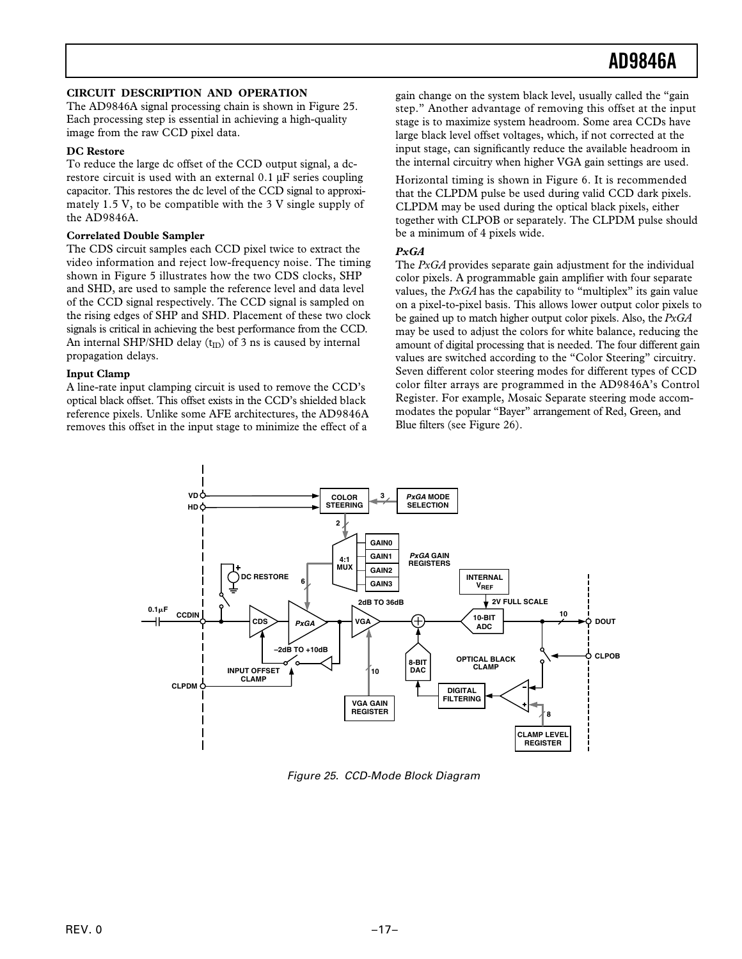### **CIRCUIT DESCRIPTION AND OPERATION**

The AD9846A signal processing chain is shown in Figure 25. Each processing step is essential in achieving a high-quality image from the raw CCD pixel data.

### **DC Restore**

To reduce the large dc offset of the CCD output signal, a dcrestore circuit is used with an external 0.1 µF series coupling capacitor. This restores the dc level of the CCD signal to approximately 1.5 V, to be compatible with the 3 V single supply of the AD9846A.

### **Correlated Double Sampler**

The CDS circuit samples each CCD pixel twice to extract the video information and reject low-frequency noise. The timing shown in Figure 5 illustrates how the two CDS clocks, SHP and SHD, are used to sample the reference level and data level of the CCD signal respectively. The CCD signal is sampled on the rising edges of SHP and SHD. Placement of these two clock signals is critical in achieving the best performance from the CCD. An internal SHP/SHD delay  $(t_{ID})$  of 3 ns is caused by internal propagation delays.

### **Input Clamp**

A line-rate input clamping circuit is used to remove the CCD's optical black offset. This offset exists in the CCD's shielded black reference pixels. Unlike some AFE architectures, the AD9846A removes this offset in the input stage to minimize the effect of a

gain change on the system black level, usually called the "gain step." Another advantage of removing this offset at the input stage is to maximize system headroom. Some area CCDs have large black level offset voltages, which, if not corrected at the input stage, can significantly reduce the available headroom in the internal circuitry when higher VGA gain settings are used.

Horizontal timing is shown in Figure 6. It is recommended that the CLPDM pulse be used during valid CCD dark pixels. CLPDM may be used during the optical black pixels, either together with CLPOB or separately. The CLPDM pulse should be a minimum of 4 pixels wide.

### *PxGA*

The *PxGA* provides separate gain adjustment for the individual color pixels. A programmable gain amplifier with four separate values, the *PxGA* has the capability to "multiplex" its gain value on a pixel-to-pixel basis. This allows lower output color pixels to be gained up to match higher output color pixels. Also, the *PxGA* may be used to adjust the colors for white balance, reducing the amount of digital processing that is needed. The four different gain values are switched according to the "Color Steering" circuitry. Seven different color steering modes for different types of CCD color filter arrays are programmed in the AD9846A's Control Register. For example, Mosaic Separate steering mode accommodates the popular "Bayer" arrangement of Red, Green, and Blue filters (see Figure 26).



Figure 25. CCD-Mode Block Diagram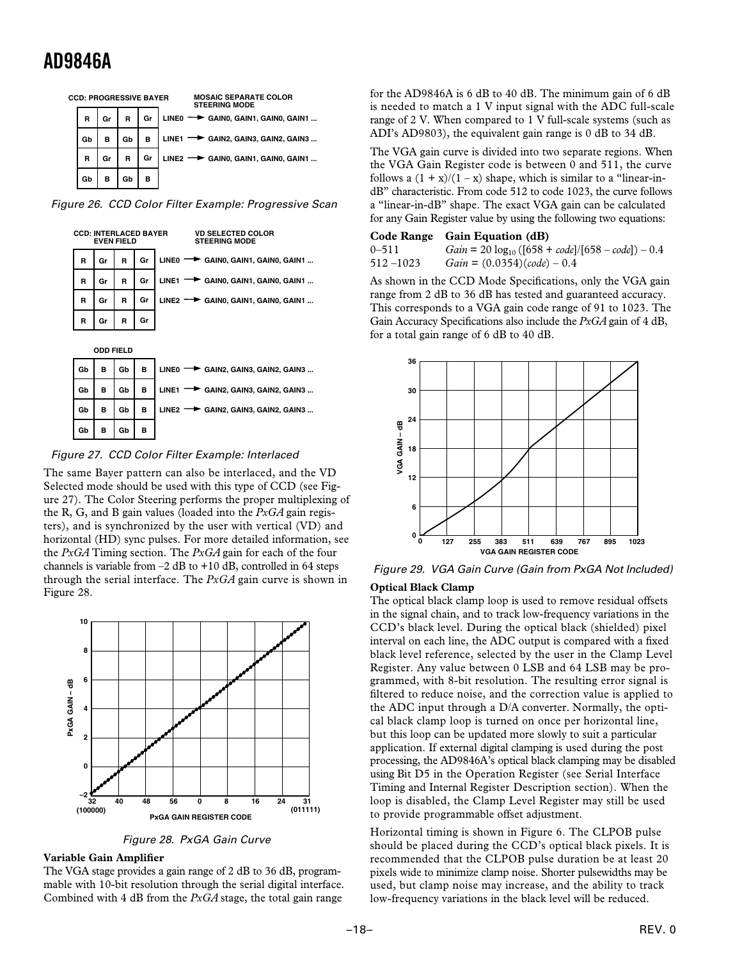

Figure 26. CCD Color Filter Example: Progressive Scan



Figure 27. CCD Color Filter Example: Interlaced

The same Bayer pattern can also be interlaced, and the VD Selected mode should be used with this type of CCD (see Figure 27). The Color Steering performs the proper multiplexing of the R, G, and B gain values (loaded into the *PxGA* gain registers), and is synchronized by the user with vertical (VD) and horizontal (HD) sync pulses. For more detailed information, see the *PxGA* Timing section. The *PxGA* gain for each of the four channels is variable from  $-2$  dB to  $+10$  dB, controlled in 64 steps through the serial interface. The *PxGA* gain curve is shown in Figure 28.



Figure 28. PxGA Gain Curve

### **Variable Gain Amplifier**

The VGA stage provides a gain range of 2 dB to 36 dB, programmable with 10-bit resolution through the serial digital interface. Combined with 4 dB from the *PxGA* stage, the total gain range

for the AD9846A is 6 dB to 40 dB. The minimum gain of 6 dB is needed to match a 1 V input signal with the ADC full-scale range of 2 V. When compared to 1 V full-scale systems (such as ADI's AD9803), the equivalent gain range is 0 dB to 34 dB.

The VGA gain curve is divided into two separate regions. When the VGA Gain Register code is between 0 and 511, the curve follows a  $(1 + x)/(1 - x)$  shape, which is similar to a "linear-indB" characteristic. From code 512 to code 1023, the curve follows a "linear-in-dB" shape. The exact VGA gain can be calculated for any Gain Register value by using the following two equations:

| Code Range Gain Equation (dB) |  |
|-------------------------------|--|
|                               |  |

| 0–511     | $Gain = 20 log_{10} ([658 + code]/[658 - code]) - 0.4$ |
|-----------|--------------------------------------------------------|
| 512 –1023 | $Gain = (0.0354)(code) - 0.4$                          |

As shown in the CCD Mode Specifications, only the VGA gain range from 2 dB to 36 dB has tested and guaranteed accuracy. This corresponds to a VGA gain code range of 91 to 1023. The Gain Accuracy Specifications also include the *PxGA* gain of 4 dB, for a total gain range of 6 dB to 40 dB.



Figure 29. VGA Gain Curve (Gain from PxGA Not Included)

### **Optical Black Clamp**

The optical black clamp loop is used to remove residual offsets in the signal chain, and to track low-frequency variations in the CCD's black level. During the optical black (shielded) pixel interval on each line, the ADC output is compared with a fixed black level reference, selected by the user in the Clamp Level Register. Any value between 0 LSB and 64 LSB may be programmed, with 8-bit resolution. The resulting error signal is filtered to reduce noise, and the correction value is applied to the ADC input through a D/A converter. Normally, the optical black clamp loop is turned on once per horizontal line, but this loop can be updated more slowly to suit a particular application. If external digital clamping is used during the post processing, the AD9846A's optical black clamping may be disabled using Bit D5 in the Operation Register (see Serial Interface Timing and Internal Register Description section). When the loop is disabled, the Clamp Level Register may still be used to provide programmable offset adjustment.

Horizontal timing is shown in Figure 6. The CLPOB pulse should be placed during the CCD's optical black pixels. It is recommended that the CLPOB pulse duration be at least 20 pixels wide to minimize clamp noise. Shorter pulsewidths may be used, but clamp noise may increase, and the ability to track low-frequency variations in the black level will be reduced.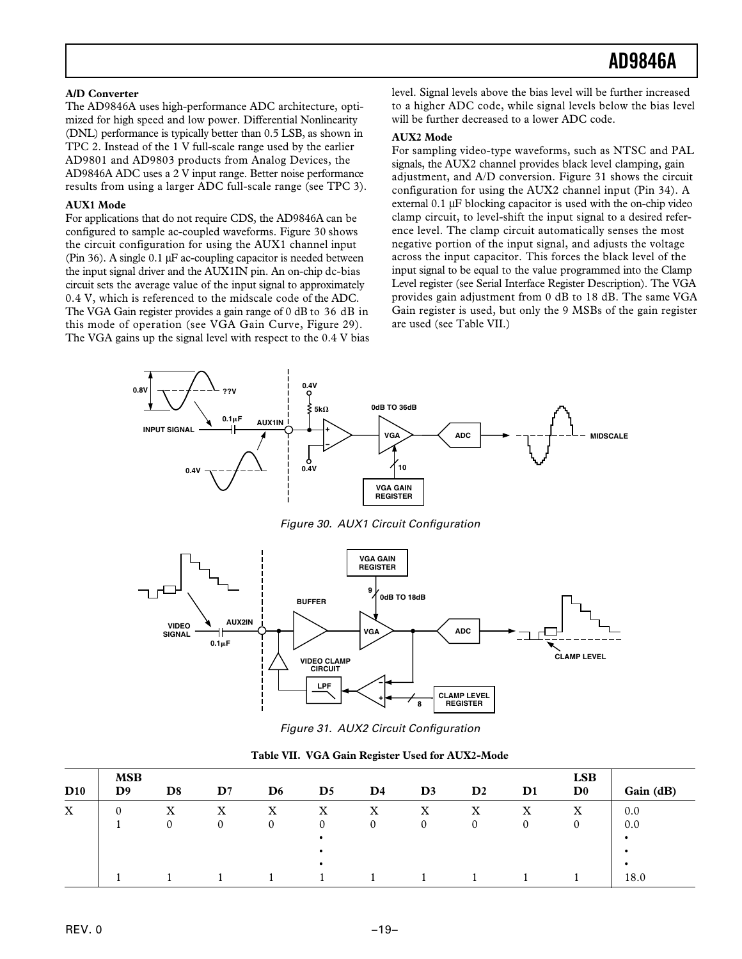### **A/D Converter**

The AD9846A uses high-performance ADC architecture, optimized for high speed and low power. Differential Nonlinearity (DNL) performance is typically better than 0.5 LSB, as shown in TPC 2. Instead of the 1 V full-scale range used by the earlier AD9801 and AD9803 products from Analog Devices, the AD9846A ADC uses a 2 V input range. Better noise performance results from using a larger ADC full-scale range (see TPC 3).

### **AUX1 Mode**

For applications that do not require CDS, the AD9846A can be configured to sample ac-coupled waveforms. Figure 30 shows the circuit configuration for using the AUX1 channel input (Pin 36). A single 0.1 µF ac-coupling capacitor is needed between the input signal driver and the AUX1IN pin. An on-chip dc-bias circuit sets the average value of the input signal to approximately 0.4 V, which is referenced to the midscale code of the ADC. The VGA Gain register provides a gain range of 0 dB to 36 dB in this mode of operation (see VGA Gain Curve, Figure 29). The VGA gains up the signal level with respect to the 0.4 V bias

level. Signal levels above the bias level will be further increased to a higher ADC code, while signal levels below the bias level will be further decreased to a lower ADC code.

### **AUX2 Mode**

For sampling video-type waveforms, such as NTSC and PAL signals, the AUX2 channel provides black level clamping, gain adjustment, and A/D conversion. Figure 31 shows the circuit configuration for using the AUX2 channel input (Pin 34). A external 0.1 µF blocking capacitor is used with the on-chip video clamp circuit, to level-shift the input signal to a desired reference level. The clamp circuit automatically senses the most negative portion of the input signal, and adjusts the voltage across the input capacitor. This forces the black level of the input signal to be equal to the value programmed into the Clamp Level register (see Serial Interface Register Description). The VGA provides gain adjustment from 0 dB to 18 dB. The same VGA Gain register is used, but only the 9 MSBs of the gain register are used (see Table VII.)



Figure 30. AUX1 Circuit Configuration



Figure 31. AUX2 Circuit Configuration

| Table VII. VGA Gain Register Used for AUX2-Mode |  |  |
|-------------------------------------------------|--|--|
|                                                 |  |  |

| D <sub>10</sub> | <b>MSB</b><br>D <sub>9</sub> | D <sub>8</sub> | $\mathbf{D}7$     | D6                      | D5                     | D4            | D <sub>3</sub> | $\mathbf{D}2$ | D1              | <b>LSB</b><br>$\mathbf{D}^{\mathbf{0}}$ | Gain (dB)               |
|-----------------|------------------------------|----------------|-------------------|-------------------------|------------------------|---------------|----------------|---------------|-----------------|-----------------------------------------|-------------------------|
| $\mathbf X$     |                              | X<br>0         | X<br>$\mathbf{0}$ | $\rm X$<br>$\mathbf{0}$ | X<br>0                 | X<br>$\Omega$ | X<br>$\Omega$  | x<br>$\Omega$ | v<br>$\upsilon$ | $\rm X$<br>0                            | 0.0<br>0.0<br>$\bullet$ |
|                 |                              |                |                   |                         | $\bullet$<br>$\bullet$ |               |                |               |                 |                                         | $\bullet$<br>٠<br>18.0  |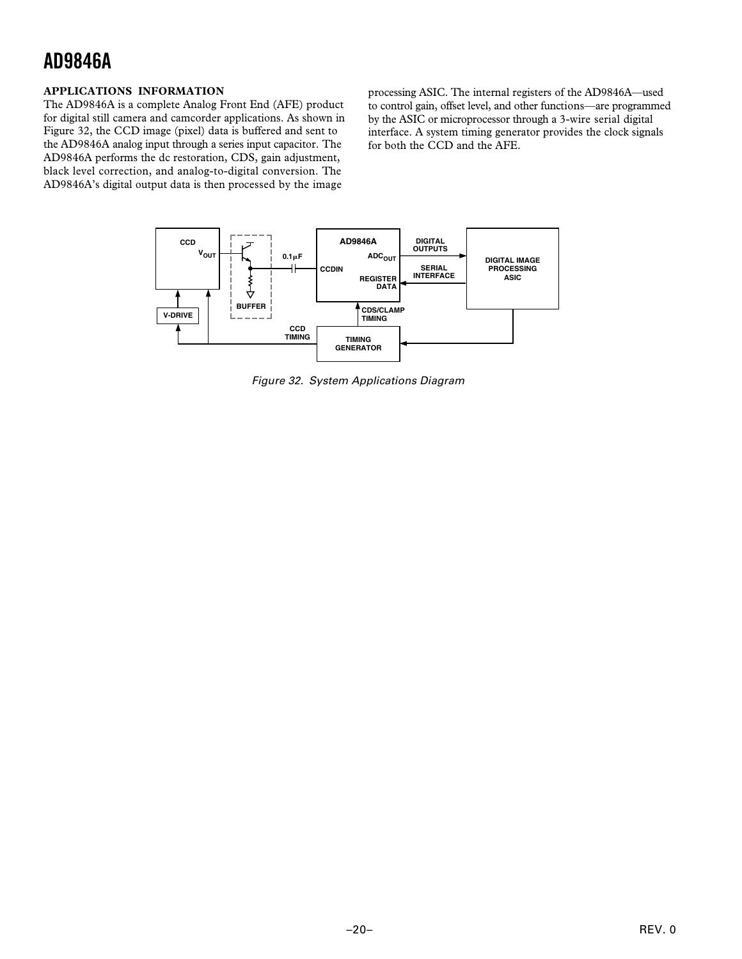### **APPLICATIONS INFORMATION**

The AD9846A is a complete Analog Front End (AFE) product for digital still camera and camcorder applications. As shown in Figure 32, the CCD image (pixel) data is buffered and sent to the AD9846A analog input through a series input capacitor. The AD9846A performs the dc restoration, CDS, gain adjustment, black level correction, and analog-to-digital conversion. The AD9846A's digital output data is then processed by the image

processing ASIC. The internal registers of the AD9846A—used to control gain, offset level, and other functions—are programmed by the ASIC or microprocessor through a 3-wire serial digital interface. A system timing generator provides the clock signals for both the CCD and the AFE.



Figure 32. System Applications Diagram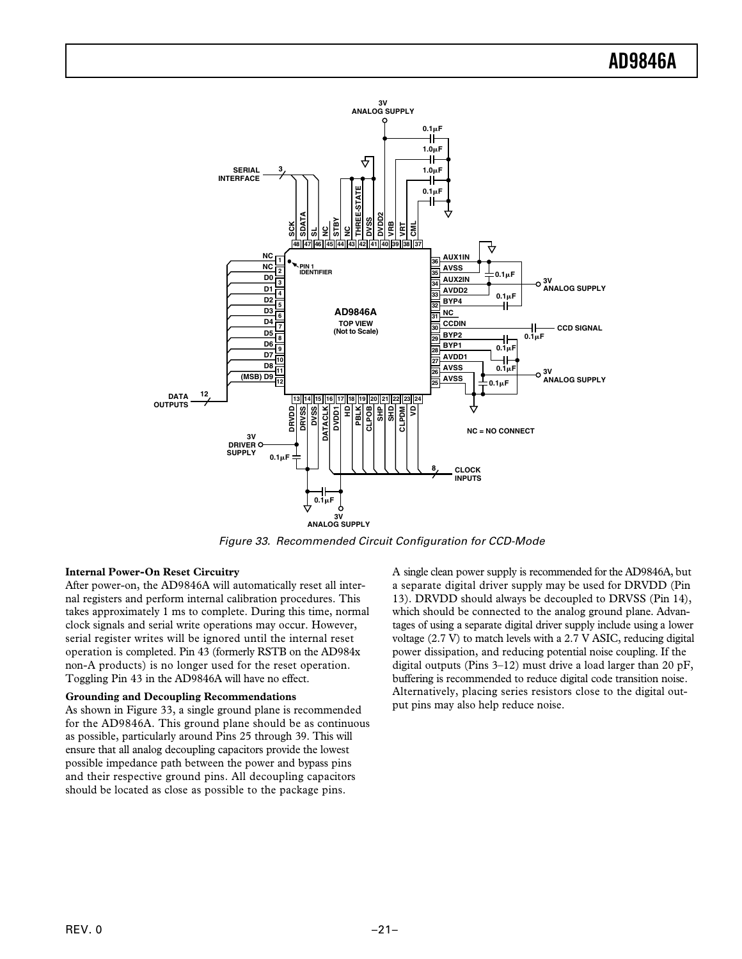

Figure 33. Recommended Circuit Configuration for CCD-Mode

### **Internal Power-On Reset Circuitry**

After power-on, the AD9846A will automatically reset all internal registers and perform internal calibration procedures. This takes approximately 1 ms to complete. During this time, normal clock signals and serial write operations may occur. However, serial register writes will be ignored until the internal reset operation is completed. Pin 43 (formerly RSTB on the AD984x non-A products) is no longer used for the reset operation. Toggling Pin 43 in the AD9846A will have no effect.

### **Grounding and Decoupling Recommendations**

As shown in Figure 33, a single ground plane is recommended for the AD9846A. This ground plane should be as continuous as possible, particularly around Pins 25 through 39. This will ensure that all analog decoupling capacitors provide the lowest possible impedance path between the power and bypass pins and their respective ground pins. All decoupling capacitors should be located as close as possible to the package pins.

A single clean power supply is recommended for the AD9846A, but a separate digital driver supply may be used for DRVDD (Pin 13). DRVDD should always be decoupled to DRVSS (Pin 14), which should be connected to the analog ground plane. Advantages of using a separate digital driver supply include using a lower voltage (2.7 V) to match levels with a 2.7 V ASIC, reducing digital power dissipation, and reducing potential noise coupling. If the digital outputs (Pins 3–12) must drive a load larger than 20 pF, buffering is recommended to reduce digital code transition noise. Alternatively, placing series resistors close to the digital output pins may also help reduce noise.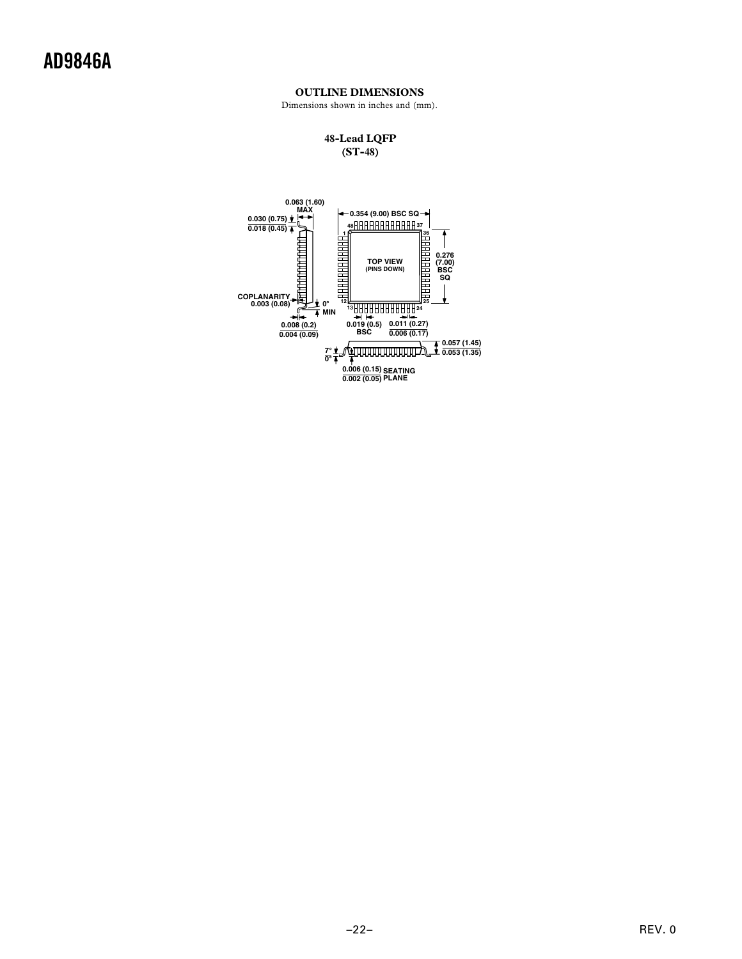### **OUTLINE DIMENSIONS**

Dimensions shown in inches and (mm).